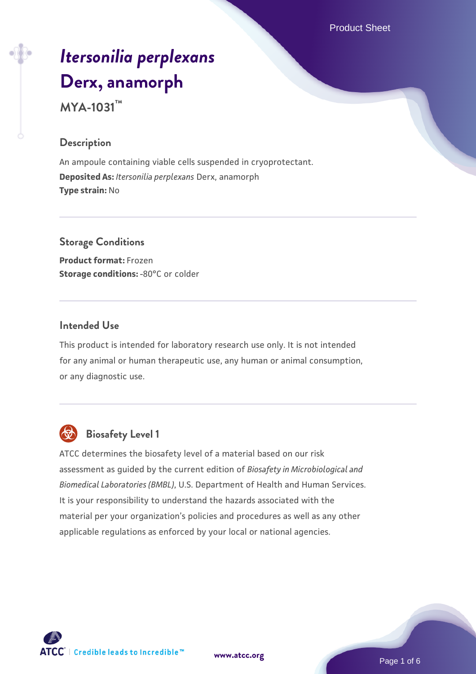Product Sheet

# *[Itersonilia perplexans](https://www.atcc.org/products/mya-1031)* **[Derx, anamorph](https://www.atcc.org/products/mya-1031) MYA-1031™**

## **Description**

An ampoule containing viable cells suspended in cryoprotectant. **Deposited As:** *Itersonilia perplexans* Derx, anamorph **Type strain:** No

#### **Storage Conditions**

**Product format:** Frozen **Storage conditions: -80°C or colder** 

# **Intended Use**

This product is intended for laboratory research use only. It is not intended for any animal or human therapeutic use, any human or animal consumption, or any diagnostic use.



# **Biosafety Level 1**

ATCC determines the biosafety level of a material based on our risk assessment as guided by the current edition of *Biosafety in Microbiological and Biomedical Laboratories (BMBL)*, U.S. Department of Health and Human Services. It is your responsibility to understand the hazards associated with the material per your organization's policies and procedures as well as any other applicable regulations as enforced by your local or national agencies.



**[www.atcc.org](http://www.atcc.org)**

Page 1 of 6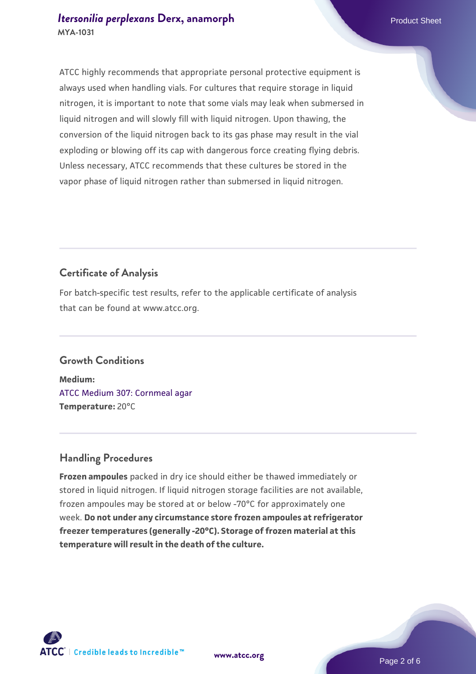ATCC highly recommends that appropriate personal protective equipment is always used when handling vials. For cultures that require storage in liquid nitrogen, it is important to note that some vials may leak when submersed in liquid nitrogen and will slowly fill with liquid nitrogen. Upon thawing, the conversion of the liquid nitrogen back to its gas phase may result in the vial exploding or blowing off its cap with dangerous force creating flying debris. Unless necessary, ATCC recommends that these cultures be stored in the vapor phase of liquid nitrogen rather than submersed in liquid nitrogen.

# **Certificate of Analysis**

For batch-specific test results, refer to the applicable certificate of analysis that can be found at www.atcc.org.

# **Growth Conditions**

**Medium:**  [ATCC Medium 307: Cornmeal agar](https://www.atcc.org/-/media/product-assets/documents/microbial-media-formulations/3/0/7/atcc-medium-307.pdf?rev=5cd8aaa5fcde44f5873396cc2a06f590) **Temperature:** 20°C

# **Handling Procedures**

**Frozen ampoules** packed in dry ice should either be thawed immediately or stored in liquid nitrogen. If liquid nitrogen storage facilities are not available, frozen ampoules may be stored at or below -70°C for approximately one week. **Do not under any circumstance store frozen ampoules at refrigerator freezer temperatures (generally -20°C). Storage of frozen material at this temperature will result in the death of the culture.**

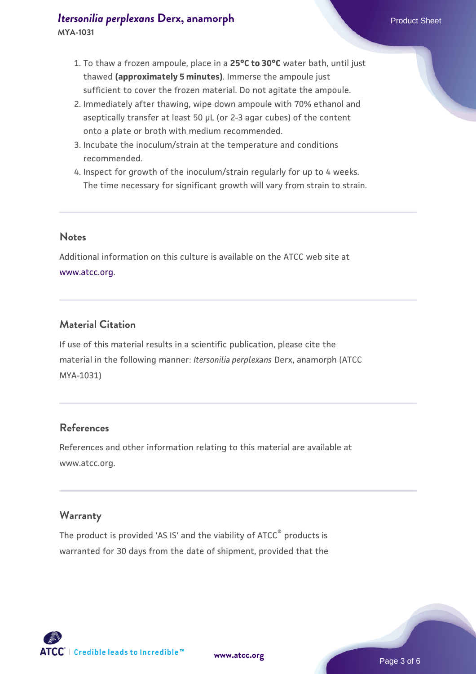# *[Itersonilia perplexans](https://www.atcc.org/products/mya-1031)* [Derx, anamorph](https://www.atcc.org/products/mya-1031) **Product Sheet** Product Sheet

- 1. To thaw a frozen ampoule, place in a **25°C to 30°C** water bath, until just thawed **(approximately 5 minutes)**. Immerse the ampoule just sufficient to cover the frozen material. Do not agitate the ampoule.
- 2. Immediately after thawing, wipe down ampoule with 70% ethanol and aseptically transfer at least 50 µL (or 2-3 agar cubes) of the content onto a plate or broth with medium recommended.
- 3. Incubate the inoculum/strain at the temperature and conditions recommended.
- 4. Inspect for growth of the inoculum/strain regularly for up to 4 weeks. The time necessary for significant growth will vary from strain to strain.

#### **Notes**

Additional information on this culture is available on the ATCC web site at [www.atcc.org.](http://www.atcc.org/)

# **Material Citation**

If use of this material results in a scientific publication, please cite the material in the following manner: *Itersonilia perplexans* Derx, anamorph (ATCC MYA-1031)

# **References**

References and other information relating to this material are available at www.atcc.org.

# **Warranty**

The product is provided 'AS IS' and the viability of ATCC<sup>®</sup> products is warranted for 30 days from the date of shipment, provided that the

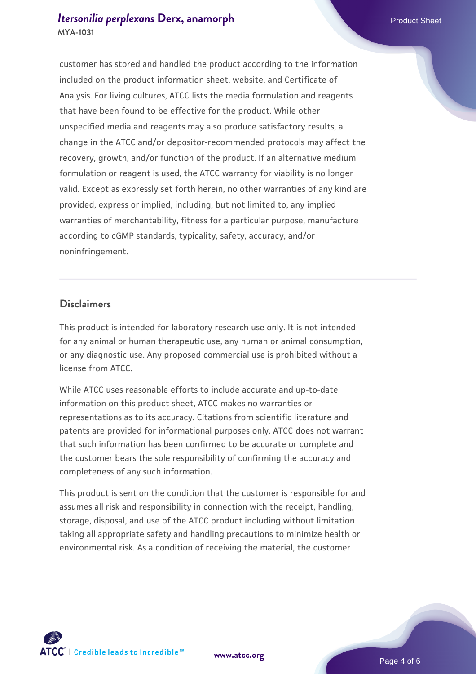### *[Itersonilia perplexans](https://www.atcc.org/products/mya-1031)* [Derx, anamorph](https://www.atcc.org/products/mya-1031) **Product Sheet** Product Sheet **MYA-1031**

customer has stored and handled the product according to the information included on the product information sheet, website, and Certificate of Analysis. For living cultures, ATCC lists the media formulation and reagents that have been found to be effective for the product. While other unspecified media and reagents may also produce satisfactory results, a change in the ATCC and/or depositor-recommended protocols may affect the recovery, growth, and/or function of the product. If an alternative medium formulation or reagent is used, the ATCC warranty for viability is no longer valid. Except as expressly set forth herein, no other warranties of any kind are provided, express or implied, including, but not limited to, any implied warranties of merchantability, fitness for a particular purpose, manufacture according to cGMP standards, typicality, safety, accuracy, and/or noninfringement.

#### **Disclaimers**

This product is intended for laboratory research use only. It is not intended for any animal or human therapeutic use, any human or animal consumption, or any diagnostic use. Any proposed commercial use is prohibited without a license from ATCC.

While ATCC uses reasonable efforts to include accurate and up-to-date information on this product sheet, ATCC makes no warranties or representations as to its accuracy. Citations from scientific literature and patents are provided for informational purposes only. ATCC does not warrant that such information has been confirmed to be accurate or complete and the customer bears the sole responsibility of confirming the accuracy and completeness of any such information.

This product is sent on the condition that the customer is responsible for and assumes all risk and responsibility in connection with the receipt, handling, storage, disposal, and use of the ATCC product including without limitation taking all appropriate safety and handling precautions to minimize health or environmental risk. As a condition of receiving the material, the customer



**[www.atcc.org](http://www.atcc.org)**

Page 4 of 6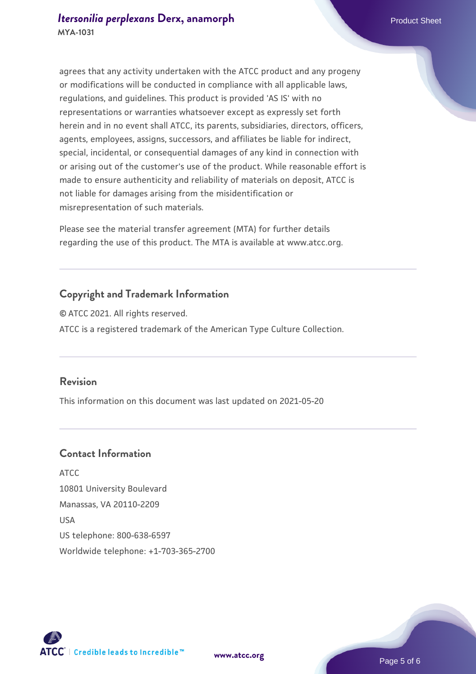agrees that any activity undertaken with the ATCC product and any progeny or modifications will be conducted in compliance with all applicable laws, regulations, and guidelines. This product is provided 'AS IS' with no representations or warranties whatsoever except as expressly set forth herein and in no event shall ATCC, its parents, subsidiaries, directors, officers, agents, employees, assigns, successors, and affiliates be liable for indirect, special, incidental, or consequential damages of any kind in connection with or arising out of the customer's use of the product. While reasonable effort is made to ensure authenticity and reliability of materials on deposit, ATCC is not liable for damages arising from the misidentification or misrepresentation of such materials.

Please see the material transfer agreement (MTA) for further details regarding the use of this product. The MTA is available at www.atcc.org.

# **Copyright and Trademark Information**

© ATCC 2021. All rights reserved. ATCC is a registered trademark of the American Type Culture Collection.

## **Revision**

This information on this document was last updated on 2021-05-20

# **Contact Information**

ATCC 10801 University Boulevard Manassas, VA 20110-2209 USA US telephone: 800-638-6597 Worldwide telephone: +1-703-365-2700